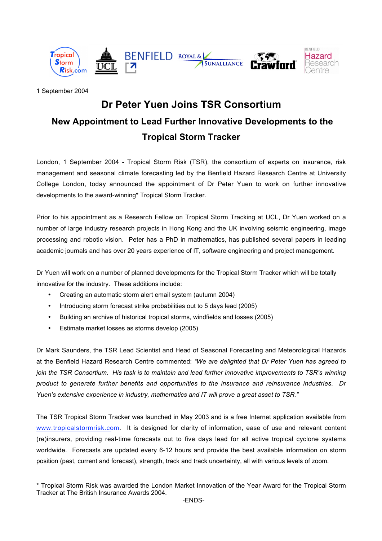

1 September 2004

## **Dr Peter Yuen Joins TSR Consortium**

# **New Appointment to Lead Further Innovative Developments to the Tropical Storm Tracker**

London, 1 September 2004 - Tropical Storm Risk (TSR), the consortium of experts on insurance, risk management and seasonal climate forecasting led by the Benfield Hazard Research Centre at University College London, today announced the appointment of Dr Peter Yuen to work on further innovative developments to the award-winning\* Tropical Storm Tracker.

Prior to his appointment as a Research Fellow on Tropical Storm Tracking at UCL, Dr Yuen worked on a number of large industry research projects in Hong Kong and the UK involving seismic engineering, image processing and robotic vision. Peter has a PhD in mathematics, has published several papers in leading academic journals and has over 20 years experience of IT, software engineering and project management.

Dr Yuen will work on a number of planned developments for the Tropical Storm Tracker which will be totally innovative for the industry. These additions include:

Creating an automatic storm alert email system (autumn 2004) Introducing storm forecast strike probabilities out to 5 days lead (2005) Building an archive of historical tropical storms, windfields and losses (2005) Estimate market losses as storms develop (2005)

Dr Mark Saunders, the TSR Lead Scientist and Head of Seasonal Forecasting and Meteorological Hazards at the Benfield Hazard Research Centre commented: *"We are delighted that Dr Peter Yuen has agreed to join the TSR Consortium. His task is to maintain and lead further innovative improvements to TSR's winning product to generate further benefits and opportunities to the insurance and reinsurance industries. Dr Yuen's extensive experience in industry, mathematics and IT will prove a great asset to TSR."*

The TSR Tropical Storm Tracker was launched in May 2003 and is a free Internet application available from www.tropicalstormrisk.com. It is designed for clarity of information, ease of use and relevant content (re)insurers, providing real-time forecasts out to five days lead for all active tropical cyclone systems worldwide. Forecasts are updated every 6-12 hours and provide the best available information on storm position (past, current and forecast), strength, track and track uncertainty, all with various levels of zoom.

\* Tropical Storm Risk was awarded the London Market Innovation of the Year Award for the Tropical Storm Tracker at The British Insurance Awards 2004.